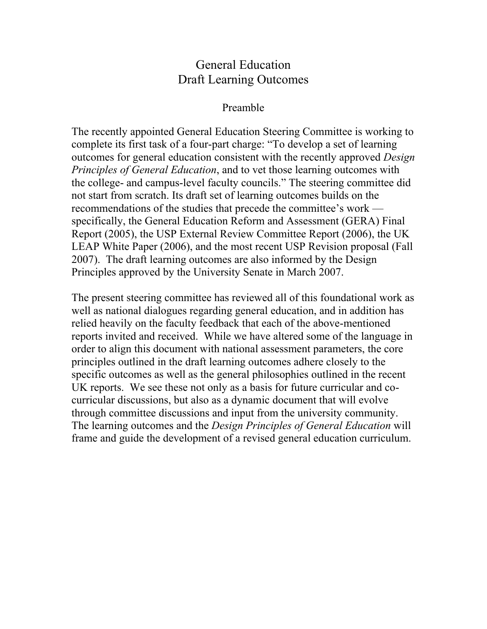## General Education Draft Learning Outcomes

## Preamble

The recently appointed General Education Steering Committee is working to complete its first task of a four-part charge: "To develop a set of learning outcomes for general education consistent with the recently approved *Design Principles of General Education*, and to vet those learning outcomes with the college- and campus-level faculty councils." The steering committee did not start from scratch. Its draft set of learning outcomes builds on the recommendations of the studies that precede the committee's work specifically, the General Education Reform and Assessment (GERA) Final Report (2005), the USP External Review Committee Report (2006), the UK LEAP White Paper (2006), and the most recent USP Revision proposal (Fall 2007). The draft learning outcomes are also informed by the Design Principles approved by the University Senate in March 2007.

The present steering committee has reviewed all of this foundational work as well as national dialogues regarding general education, and in addition has relied heavily on the faculty feedback that each of the above-mentioned reports invited and received. While we have altered some of the language in order to align this document with national assessment parameters, the core principles outlined in the draft learning outcomes adhere closely to the specific outcomes as well as the general philosophies outlined in the recent UK reports. We see these not only as a basis for future curricular and cocurricular discussions, but also as a dynamic document that will evolve through committee discussions and input from the university community. The learning outcomes and the *Design Principles of General Education* will frame and guide the development of a revised general education curriculum.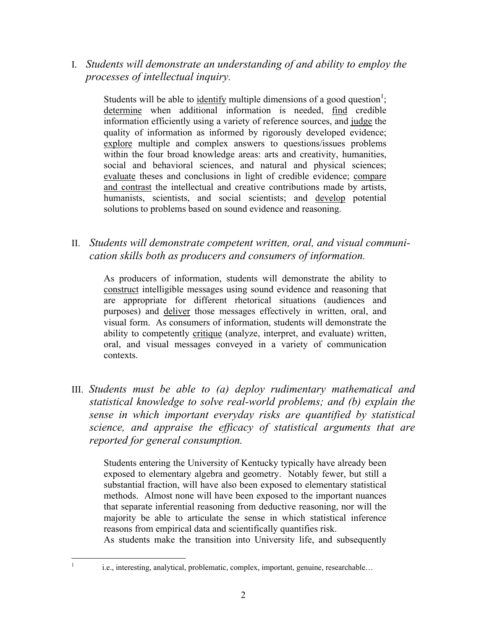I*. Students will demonstrate an understanding of and ability to employ the processes of intellectual inquiry.*

Students will be able to identify multiple dimensions of a good question<sup>1</sup>; determine when additional information is needed, find credible information efficiently using a variety of reference sources, and judge the quality of information as informed by rigorously developed evidence; explore multiple and complex answers to questions/issues problems within the four broad knowledge areas: arts and creativity, humanities, social and behavioral sciences, and natural and physical sciences; evaluate theses and conclusions in light of credible evidence; compare and contrast the intellectual and creative contributions made by artists, humanists, scientists, and social scientists; and develop potential solutions to problems based on sound evidence and reasoning.

II. *Students will demonstrate competent written, oral, and visual communication skills both as producers and consumers of information.*

As producers of information, students will demonstrate the ability to construct intelligible messages using sound evidence and reasoning that are appropriate for different rhetorical situations (audiences and purposes) and deliver those messages effectively in written, oral, and visual form. As consumers of information, students will demonstrate the ability to competently critique (analyze, interpret, and evaluate) written, oral, and visual messages conveyed in a variety of communication contexts.

III. *Students must be able to (a) deploy rudimentary mathematical and statistical knowledge to solve real-world problems; and (b) explain the sense in which important everyday risks are quantified by statistical science, and appraise the efficacy of statistical arguments that are reported for general consumption.*

Students entering the University of Kentucky typically have already been exposed to elementary algebra and geometry. Notably fewer, but still a substantial fraction, will have also been exposed to elementary statistical methods. Almost none will have been exposed to the important nuances that separate inferential reasoning from deductive reasoning, nor will the majority be able to articulate the sense in which statistical inference reasons from empirical data and scientifically quantifies risk.

As students make the transition into University life, and subsequently

<sup>&</sup>lt;sup>1</sup> i.e., interesting, analytical, problematic, complex, important, genuine, researchable…